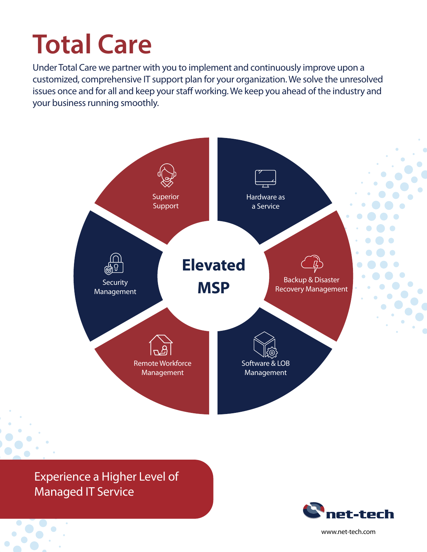# **Total Care**

Under Total Care we partner with you to implement and continuously improve upon a customized, comprehensive IT support plan for your organization. We solve the unresolved issues once and for all and keep your staff working. We keep you ahead of the industry and your business running smoothly.



Experience a Higher Level of Managed IT Service



www.net-tech.com